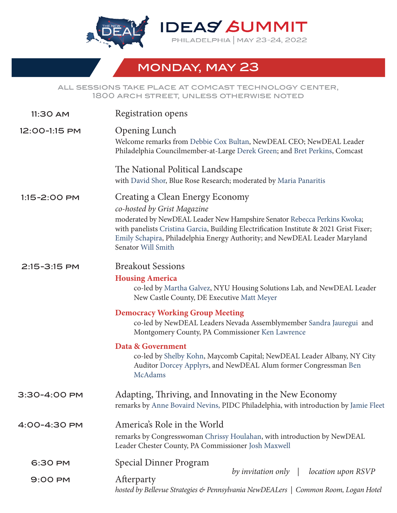

IDEAS SUMMIT

## monday, may 23

all sessions take place at comcast technology center, 1800 arch street, unless otherwise noted

| 11:30 AM      | <b>Registration opens</b>                                                                                                                                                                                                                                                                                                                |
|---------------|------------------------------------------------------------------------------------------------------------------------------------------------------------------------------------------------------------------------------------------------------------------------------------------------------------------------------------------|
| 12:00-1:15 PM | <b>Opening Lunch</b><br>Welcome remarks from Debbie Cox Bultan, NewDEAL CEO; NewDEAL Leader<br>Philadelphia Councilmember-at-Large Derek Green; and Bret Perkins, Comcast                                                                                                                                                                |
|               | The National Political Landscape<br>with David Shor, Blue Rose Research; moderated by Maria Panaritis                                                                                                                                                                                                                                    |
| 1:15-2:00 PM  | Creating a Clean Energy Economy<br>co-hosted by Grist Magazine<br>moderated by NewDEAL Leader New Hampshire Senator Rebecca Perkins Kwoka;<br>with panelists Cristina Garcia, Building Electrification Institute & 2021 Grist Fixer;<br>Emily Schapira, Philadelphia Energy Authority; and NewDEAL Leader Maryland<br>Senator Will Smith |
| 2:15-3:15 PM  | <b>Breakout Sessions</b><br><b>Housing America</b><br>co-led by Martha Galvez, NYU Housing Solutions Lab, and NewDEAL Leader<br>New Castle County, DE Executive Matt Meyer                                                                                                                                                               |
|               | <b>Democracy Working Group Meeting</b><br>co-led by NewDEAL Leaders Nevada Assemblymember Sandra Jauregui and<br>Montgomery County, PA Commissioner Ken Lawrence                                                                                                                                                                         |
|               | Data & Government<br>co-led by Shelby Kohn, Maycomb Capital; NewDEAL Leader Albany, NY City<br>Auditor Dorcey Applyrs, and NewDEAL Alum former Congressman Ben<br><b>McAdams</b>                                                                                                                                                         |
| 3:30-4:00 PM  | Adapting, Thriving, and Innovating in the New Economy<br>remarks by Anne Bovaird Nevins, PIDC Philadelphia, with introduction by Jamie Fleet                                                                                                                                                                                             |
| 4:00-4:30 PM  | America's Role in the World<br>remarks by Congresswoman Chrissy Houlahan, with introduction by NewDEAL<br>Leader Chester County, PA Commissioner Josh Maxwell                                                                                                                                                                            |
| 6:30 PM       | Special Dinner Program                                                                                                                                                                                                                                                                                                                   |
| 9:00 PM       | by invitation only $\vert$<br>location upon RSVP<br>Afterparty<br>hosted by Bellevue Strategies & Pennsylvania NewDEALers   Common Room, Logan Hotel                                                                                                                                                                                     |